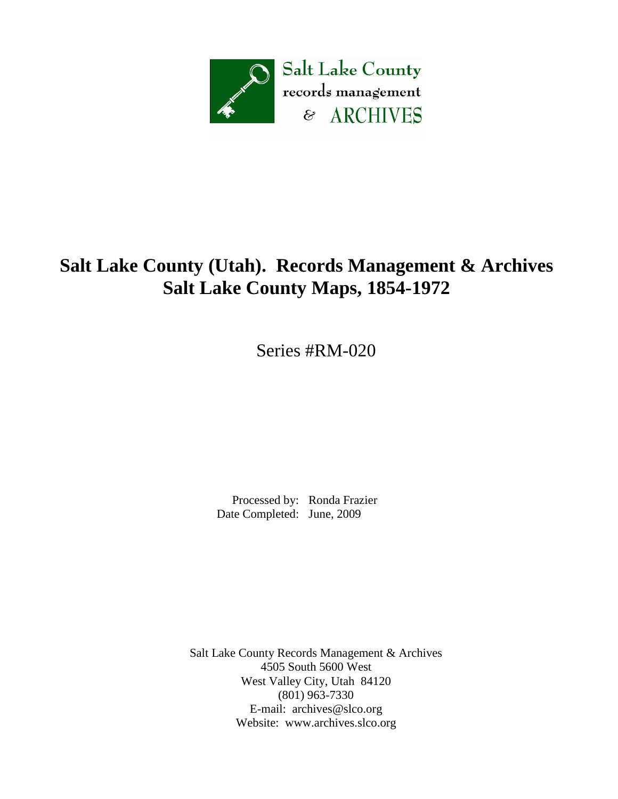

# **Salt Lake County (Utah). Records Management & Archives Salt Lake County Maps, 1854-1972**

Series #RM-020

 Processed by: Ronda Frazier Date Completed: June, 2009

Salt Lake County Records Management & Archives 4505 South 5600 West West Valley City, Utah 84120 (801) 963-7330 E-mail: [archives@slco.org](mailto:archives@slco.org) Website: [www.archives.slco.org](http://www.archives.slco.org/)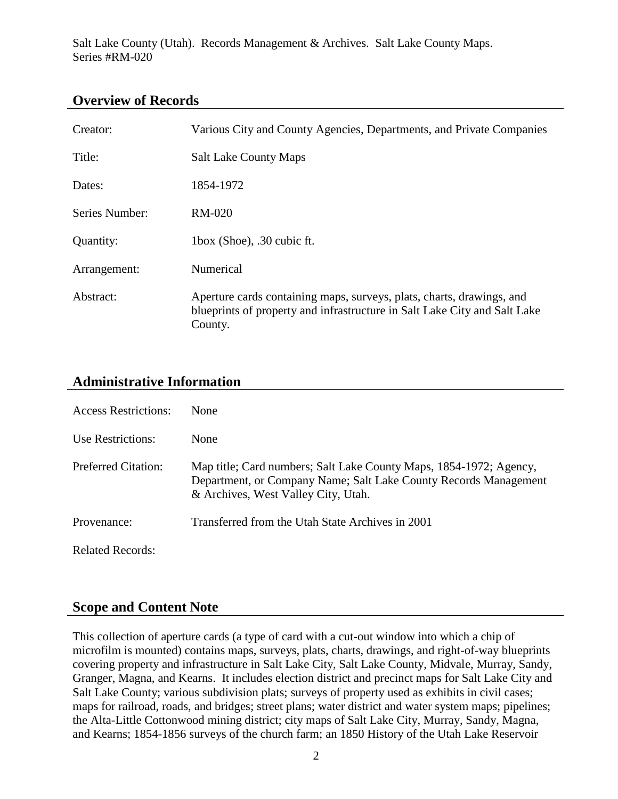#### **Overview of Records**

| Creator:       | Various City and County Agencies, Departments, and Private Companies                                                                                          |
|----------------|---------------------------------------------------------------------------------------------------------------------------------------------------------------|
| Title:         | <b>Salt Lake County Maps</b>                                                                                                                                  |
| Dates:         | 1854-1972                                                                                                                                                     |
| Series Number: | $RM-020$                                                                                                                                                      |
| Quantity:      | 1box (Shoe), .30 cubic ft.                                                                                                                                    |
| Arrangement:   | Numerical                                                                                                                                                     |
| Abstract:      | Aperture cards containing maps, surveys, plats, charts, drawings, and<br>blueprints of property and infrastructure in Salt Lake City and Salt Lake<br>County. |

### **Administrative Information**

| <b>Access Restrictions:</b> | <b>None</b>                                                                                                                                                                   |
|-----------------------------|-------------------------------------------------------------------------------------------------------------------------------------------------------------------------------|
| Use Restrictions:           | None                                                                                                                                                                          |
| <b>Preferred Citation:</b>  | Map title; Card numbers; Salt Lake County Maps, 1854-1972; Agency,<br>Department, or Company Name; Salt Lake County Records Management<br>& Archives, West Valley City, Utah. |
| Provenance:                 | Transferred from the Utah State Archives in 2001                                                                                                                              |
| <b>Related Records:</b>     |                                                                                                                                                                               |

#### **Scope and Content Note**

This collection of aperture cards (a type of card with a cut-out window into which a chip of microfilm is mounted) contains maps, surveys, plats, charts, drawings, and right-of-way blueprints covering property and infrastructure in Salt Lake City, Salt Lake County, Midvale, Murray, Sandy, Granger, Magna, and Kearns. It includes election district and precinct maps for Salt Lake City and Salt Lake County; various subdivision plats; surveys of property used as exhibits in civil cases; maps for railroad, roads, and bridges; street plans; water district and water system maps; pipelines; the Alta-Little Cottonwood mining district; city maps of Salt Lake City, Murray, Sandy, Magna, and Kearns; 1854-1856 surveys of the church farm; an 1850 History of the Utah Lake Reservoir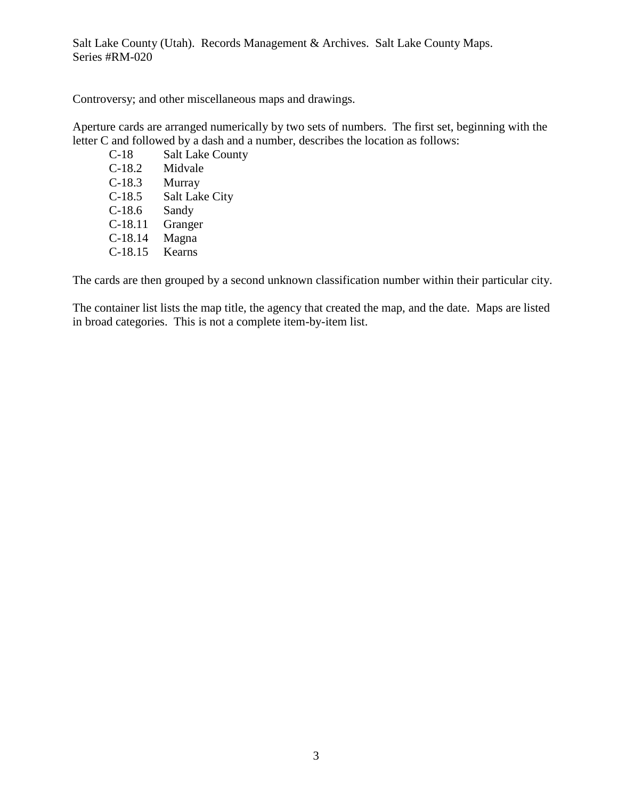Controversy; and other miscellaneous maps and drawings.

Aperture cards are arranged numerically by two sets of numbers. The first set, beginning with the letter C and followed by a dash and a number, describes the location as follows:

C-18 Salt Lake County C-18.2 Midvale C-18.3 Murray C-18.5 Salt Lake City C-18.6 Sandy C-18.11 Granger C-18.14 Magna C-18.15 Kearns

The cards are then grouped by a second unknown classification number within their particular city.

The container list lists the map title, the agency that created the map, and the date. Maps are listed in broad categories. This is not a complete item-by-item list.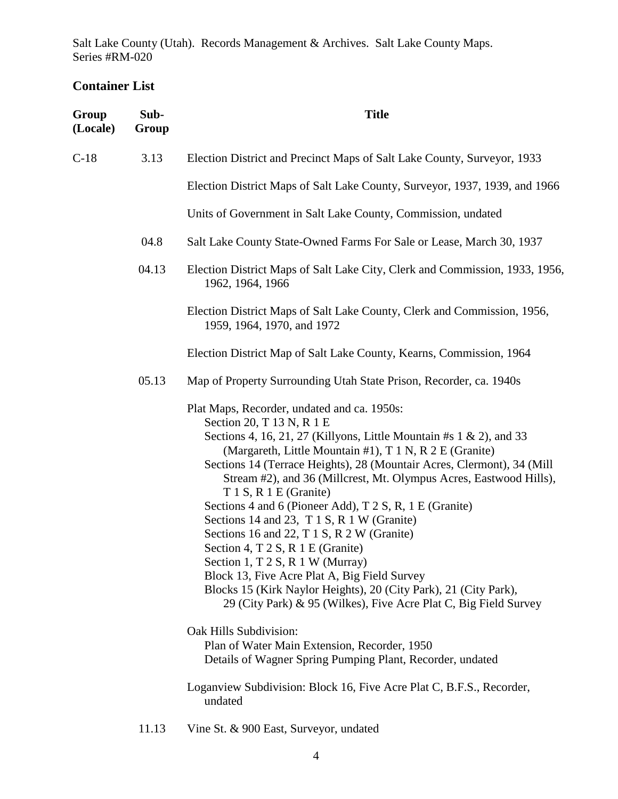## **Container List**

| Group<br>(Locale) | Sub-<br>Group | <b>Title</b>                                                                                                                                                                                                                                                                                                                                                                                                                                                                                                                                                                                                                                                                                                                                                                                                     |
|-------------------|---------------|------------------------------------------------------------------------------------------------------------------------------------------------------------------------------------------------------------------------------------------------------------------------------------------------------------------------------------------------------------------------------------------------------------------------------------------------------------------------------------------------------------------------------------------------------------------------------------------------------------------------------------------------------------------------------------------------------------------------------------------------------------------------------------------------------------------|
| $C-18$            | 3.13          | Election District and Precinct Maps of Salt Lake County, Surveyor, 1933                                                                                                                                                                                                                                                                                                                                                                                                                                                                                                                                                                                                                                                                                                                                          |
|                   |               | Election District Maps of Salt Lake County, Surveyor, 1937, 1939, and 1966                                                                                                                                                                                                                                                                                                                                                                                                                                                                                                                                                                                                                                                                                                                                       |
|                   |               | Units of Government in Salt Lake County, Commission, undated                                                                                                                                                                                                                                                                                                                                                                                                                                                                                                                                                                                                                                                                                                                                                     |
|                   | 04.8          | Salt Lake County State-Owned Farms For Sale or Lease, March 30, 1937                                                                                                                                                                                                                                                                                                                                                                                                                                                                                                                                                                                                                                                                                                                                             |
|                   | 04.13         | Election District Maps of Salt Lake City, Clerk and Commission, 1933, 1956,<br>1962, 1964, 1966                                                                                                                                                                                                                                                                                                                                                                                                                                                                                                                                                                                                                                                                                                                  |
|                   |               | Election District Maps of Salt Lake County, Clerk and Commission, 1956,<br>1959, 1964, 1970, and 1972                                                                                                                                                                                                                                                                                                                                                                                                                                                                                                                                                                                                                                                                                                            |
|                   |               | Election District Map of Salt Lake County, Kearns, Commission, 1964                                                                                                                                                                                                                                                                                                                                                                                                                                                                                                                                                                                                                                                                                                                                              |
|                   | 05.13         | Map of Property Surrounding Utah State Prison, Recorder, ca. 1940s                                                                                                                                                                                                                                                                                                                                                                                                                                                                                                                                                                                                                                                                                                                                               |
|                   |               | Plat Maps, Recorder, undated and ca. 1950s:<br>Section 20, T 13 N, R 1 E<br>Sections 4, 16, 21, 27 (Killyons, Little Mountain #s $1 \& 2$ ), and 33<br>(Margareth, Little Mountain #1), T 1 N, R 2 E (Granite)<br>Sections 14 (Terrace Heights), 28 (Mountair Acres, Clermont), 34 (Mill<br>Stream #2), and 36 (Millcrest, Mt. Olympus Acres, Eastwood Hills),<br>T 1 S, R 1 E (Granite)<br>Sections 4 and 6 (Pioneer Add), T 2 S, R, 1 E (Granite)<br>Sections 14 and 23, T 1 S, R 1 W (Granite)<br>Sections 16 and 22, T 1 S, R 2 W (Granite)<br>Section 4, T 2 S, R 1 E (Granite)<br>Section 1, T 2 S, R 1 W (Murray)<br>Block 13, Five Acre Plat A, Big Field Survey<br>Blocks 15 (Kirk Naylor Heights), 20 (City Park), 21 (City Park),<br>29 (City Park) & 95 (Wilkes), Five Acre Plat C, Big Field Survey |
|                   |               | Oak Hills Subdivision:<br>Plan of Water Main Extension, Recorder, 1950<br>Details of Wagner Spring Pumping Plant, Recorder, undated                                                                                                                                                                                                                                                                                                                                                                                                                                                                                                                                                                                                                                                                              |
|                   |               | Loganview Subdivision: Block 16, Five Acre Plat C, B.F.S., Recorder,<br>undated                                                                                                                                                                                                                                                                                                                                                                                                                                                                                                                                                                                                                                                                                                                                  |

11.13 Vine St. & 900 East, Surveyor, undated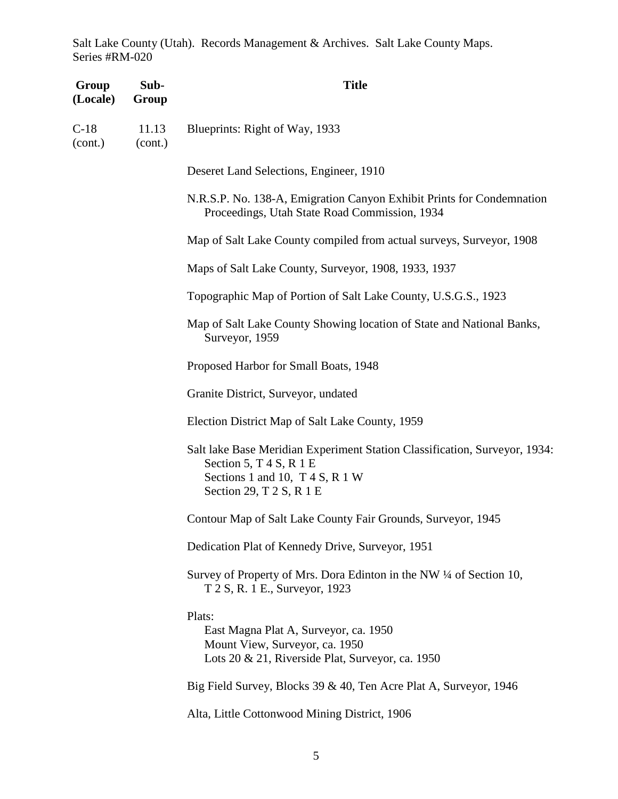| Group<br>(Locale) | Sub-<br>Group    | <b>Title</b>                                                                                                                                                             |
|-------------------|------------------|--------------------------------------------------------------------------------------------------------------------------------------------------------------------------|
| $C-18$<br>(cont.) | 11.13<br>(cont.) | Blueprints: Right of Way, 1933                                                                                                                                           |
|                   |                  | Deseret Land Selections, Engineer, 1910                                                                                                                                  |
|                   |                  | N.R.S.P. No. 138-A, Emigration Canyon Exhibit Prints for Condemnation<br>Proceedings, Utah State Road Commission, 1934                                                   |
|                   |                  | Map of Salt Lake County compiled from actual surveys, Surveyor, 1908                                                                                                     |
|                   |                  | Maps of Salt Lake County, Surveyor, 1908, 1933, 1937                                                                                                                     |
|                   |                  | Topographic Map of Portion of Salt Lake County, U.S.G.S., 1923                                                                                                           |
|                   |                  | Map of Salt Lake County Showing location of State and National Banks,<br>Surveyor, 1959                                                                                  |
|                   |                  | Proposed Harbor for Small Boats, 1948                                                                                                                                    |
|                   |                  | Granite District, Surveyor, undated                                                                                                                                      |
|                   |                  | Election District Map of Salt Lake County, 1959                                                                                                                          |
|                   |                  | Salt lake Base Meridian Experiment Station Classification, Surveyor, 1934:<br>Section 5, $T$ 4 S, R 1 E<br>Sections 1 and 10, $T$ 4 S, R 1 W<br>Section 29, T 2 S, R 1 E |
|                   |                  | Contour Map of Salt Lake County Fair Grounds, Surveyor, 1945                                                                                                             |
|                   |                  | Dedication Plat of Kennedy Drive, Surveyor, 1951                                                                                                                         |
|                   |                  | Survey of Property of Mrs. Dora Edinton in the NW 1/4 of Section 10,<br>T 2 S, R. 1 E., Surveyor, 1923                                                                   |
|                   |                  | Plats:<br>East Magna Plat A, Surveyor, ca. 1950<br>Mount View, Surveyor, ca. 1950<br>Lots 20 & 21, Riverside Plat, Surveyor, ca. 1950                                    |
|                   |                  | Big Field Survey, Blocks 39 & 40, Ten Acre Plat A, Surveyor, 1946                                                                                                        |
|                   |                  | Alta, Little Cottonwood Mining District, 1906                                                                                                                            |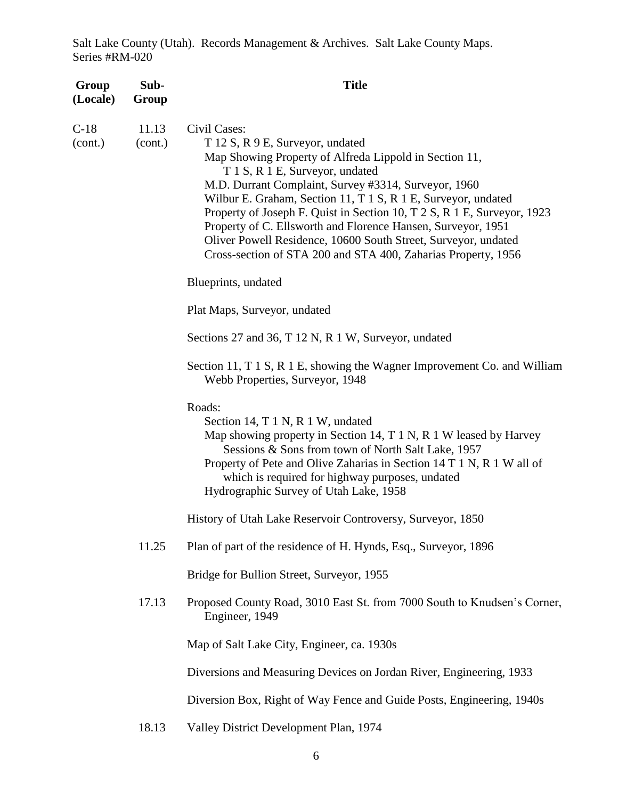| Group<br>(Locale) | Sub-<br>Group    | <b>Title</b>                                                                                                                                                                                                                                                                                                                                                                                                                                                                                                                                         |
|-------------------|------------------|------------------------------------------------------------------------------------------------------------------------------------------------------------------------------------------------------------------------------------------------------------------------------------------------------------------------------------------------------------------------------------------------------------------------------------------------------------------------------------------------------------------------------------------------------|
| $C-18$<br>(cont.) | 11.13<br>(cont.) | Civil Cases:<br>T 12 S, R 9 E, Surveyor, undated<br>Map Showing Property of Alfreda Lippold in Section 11,<br>T 1 S, R 1 E, Surveyor, undated<br>M.D. Durrant Complaint, Survey #3314, Surveyor, 1960<br>Wilbur E. Graham, Section 11, T 1 S, R 1 E, Surveyor, undated<br>Property of Joseph F. Quist in Section 10, T 2 S, R 1 E, Surveyor, 1923<br>Property of C. Ellsworth and Florence Hansen, Surveyor, 1951<br>Oliver Powell Residence, 10600 South Street, Surveyor, undated<br>Cross-section of STA 200 and STA 400, Zaharias Property, 1956 |
|                   |                  | Blueprints, undated                                                                                                                                                                                                                                                                                                                                                                                                                                                                                                                                  |
|                   |                  | Plat Maps, Surveyor, undated                                                                                                                                                                                                                                                                                                                                                                                                                                                                                                                         |
|                   |                  | Sections 27 and 36, T 12 N, R 1 W, Surveyor, undated                                                                                                                                                                                                                                                                                                                                                                                                                                                                                                 |
|                   |                  | Section 11, T 1 S, R 1 E, showing the Wagner Improvement Co. and William<br>Webb Properties, Surveyor, 1948                                                                                                                                                                                                                                                                                                                                                                                                                                          |
|                   |                  | Roads:<br>Section 14, T 1 N, R 1 W, undated<br>Map showing property in Section 14, T 1 N, R 1 W leased by Harvey<br>Sessions & Sons from town of North Salt Lake, 1957<br>Property of Pete and Olive Zaharias in Section 14 T 1 N, R 1 W all of<br>which is required for highway purposes, undated<br>Hydrographic Survey of Utah Lake, 1958                                                                                                                                                                                                         |
|                   |                  | History of Utah Lake Reservoir Controversy, Surveyor, 1850                                                                                                                                                                                                                                                                                                                                                                                                                                                                                           |
|                   | 11.25            | Plan of part of the residence of H. Hynds, Esq., Surveyor, 1896                                                                                                                                                                                                                                                                                                                                                                                                                                                                                      |
|                   |                  | Bridge for Bullion Street, Surveyor, 1955                                                                                                                                                                                                                                                                                                                                                                                                                                                                                                            |
|                   | 17.13            | Proposed County Road, 3010 East St. from 7000 South to Knudsen's Corner,<br>Engineer, 1949                                                                                                                                                                                                                                                                                                                                                                                                                                                           |
|                   |                  | Map of Salt Lake City, Engineer, ca. 1930s                                                                                                                                                                                                                                                                                                                                                                                                                                                                                                           |
|                   |                  | Diversions and Measuring Devices on Jordan River, Engineering, 1933                                                                                                                                                                                                                                                                                                                                                                                                                                                                                  |
|                   |                  | Diversion Box, Right of Way Fence and Guide Posts, Engineering, 1940s                                                                                                                                                                                                                                                                                                                                                                                                                                                                                |
|                   | 18.13            | Valley District Development Plan, 1974                                                                                                                                                                                                                                                                                                                                                                                                                                                                                                               |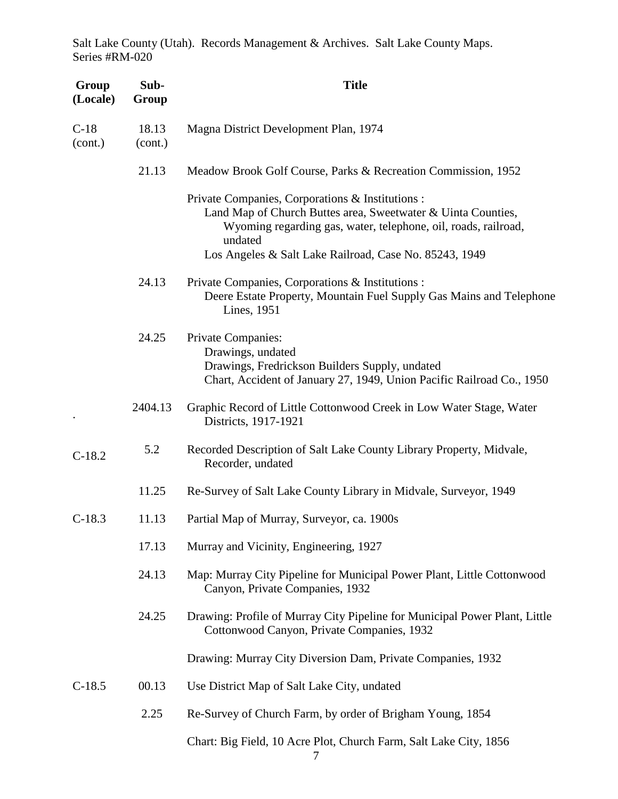| Group<br>(Locale) | Sub-<br>Group    | <b>Title</b>                                                                                                                                                                                                                                            |
|-------------------|------------------|---------------------------------------------------------------------------------------------------------------------------------------------------------------------------------------------------------------------------------------------------------|
| $C-18$<br>(cont.) | 18.13<br>(cont.) | Magna District Development Plan, 1974                                                                                                                                                                                                                   |
|                   | 21.13            | Meadow Brook Golf Course, Parks & Recreation Commission, 1952                                                                                                                                                                                           |
|                   |                  | Private Companies, Corporations & Institutions :<br>Land Map of Church Buttes area, Sweetwater & Uinta Counties,<br>Wyoming regarding gas, water, telephone, oil, roads, railroad,<br>undated<br>Los Angeles & Salt Lake Railroad, Case No. 85243, 1949 |
|                   | 24.13            | Private Companies, Corporations & Institutions :<br>Deere Estate Property, Mountain Fuel Supply Gas Mains and Telephone<br>Lines, 1951                                                                                                                  |
|                   | 24.25            | Private Companies:<br>Drawings, undated<br>Drawings, Fredrickson Builders Supply, undated<br>Chart, Accident of January 27, 1949, Union Pacific Railroad Co., 1950                                                                                      |
|                   | 2404.13          | Graphic Record of Little Cottonwood Creek in Low Water Stage, Water<br>Districts, 1917-1921                                                                                                                                                             |
| $C-18.2$          | 5.2              | Recorded Description of Salt Lake County Library Property, Midvale,<br>Recorder, undated                                                                                                                                                                |
|                   | 11.25            | Re-Survey of Salt Lake County Library in Midvale, Surveyor, 1949                                                                                                                                                                                        |
| $C-18.3$          | 11.13            | Partial Map of Murray, Surveyor, ca. 1900s                                                                                                                                                                                                              |
|                   | 17.13            | Murray and Vicinity, Engineering, 1927                                                                                                                                                                                                                  |
|                   | 24.13            | Map: Murray City Pipeline for Municipal Power Plant, Little Cottonwood<br>Canyon, Private Companies, 1932                                                                                                                                               |
|                   | 24.25            | Drawing: Profile of Murray City Pipeline for Municipal Power Plant, Little<br>Cottonwood Canyon, Private Companies, 1932                                                                                                                                |
|                   |                  | Drawing: Murray City Diversion Dam, Private Companies, 1932                                                                                                                                                                                             |
| $C-18.5$          | 00.13            | Use District Map of Salt Lake City, undated                                                                                                                                                                                                             |
|                   | 2.25             | Re-Survey of Church Farm, by order of Brigham Young, 1854                                                                                                                                                                                               |
|                   |                  | Chart: Big Field, 10 Acre Plot, Church Farm, Salt Lake City, 1856                                                                                                                                                                                       |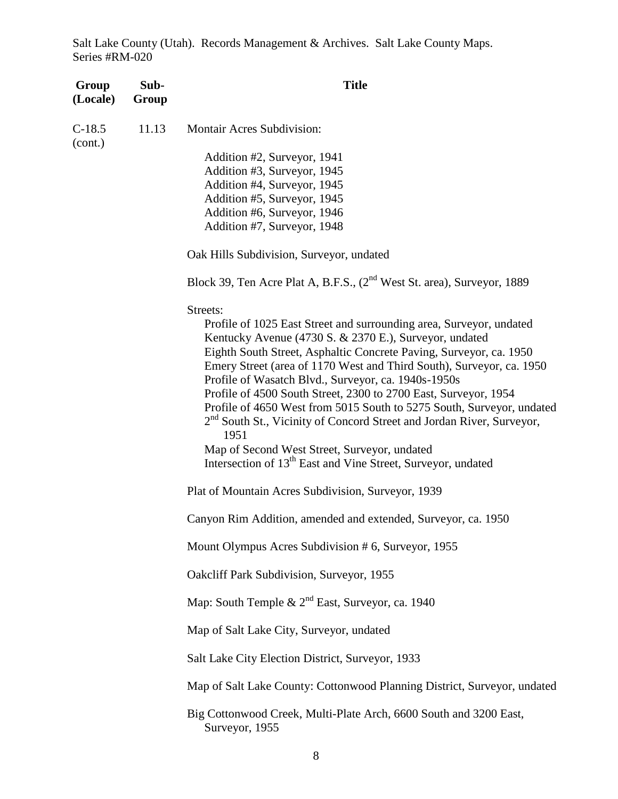| Group<br>(Locale)   | Sub-<br>Group | <b>Title</b>                                                                              |
|---------------------|---------------|-------------------------------------------------------------------------------------------|
| $C-18.5$<br>(cont.) | 11.13         | <b>Montair Acres Subdivision:</b>                                                         |
|                     |               | Addition #2, Surveyor, 1941                                                               |
|                     |               | Addition #3, Surveyor, 1945                                                               |
|                     |               | Addition #4, Surveyor, 1945                                                               |
|                     |               | Addition #5, Surveyor, 1945                                                               |
|                     |               | Addition #6, Surveyor, 1946                                                               |
|                     |               | Addition #7, Surveyor, 1948                                                               |
|                     |               | Oak Hills Subdivision, Surveyor, undated                                                  |
|                     |               | Block 39, Ten Acre Plat A, B.F.S., (2 <sup>nd</sup> West St. area), Surveyor, 1889        |
|                     |               | Streets:                                                                                  |
|                     |               | Profile of 1025 East Street and surrounding area, Surveyor, undated                       |
|                     |               | Kentucky Avenue (4730 S. & 2370 E.), Surveyor, undated                                    |
|                     |               | Eighth South Street, Asphaltic Concrete Paving, Surveyor, ca. 1950                        |
|                     |               | Emery Street (area of 1170 West and Third South), Surveyor, ca. 1950                      |
|                     |               | Profile of Wasatch Blvd., Surveyor, ca. 1940s-1950s                                       |
|                     |               | Profile of 4500 South Street, 2300 to 2700 East, Surveyor, 1954                           |
|                     |               | Profile of 4650 West from 5015 South to 5275 South, Surveyor, undated                     |
|                     |               | 2 <sup>nd</sup> South St., Vicinity of Concord Street and Jordan River, Surveyor,<br>1951 |
|                     |               | Map of Second West Street, Surveyor, undated                                              |
|                     |               | Intersection of 13 <sup>th</sup> East and Vine Street, Surveyor, undated                  |
|                     |               | Plat of Mountain Acres Subdivision, Surveyor, 1939                                        |
|                     |               | Canyon Rim Addition, amended and extended, Surveyor, ca. 1950                             |
|                     |               | Mount Olympus Acres Subdivision # 6, Surveyor, 1955                                       |
|                     |               | Oakcliff Park Subdivision, Surveyor, 1955                                                 |
|                     |               | Map: South Temple & $2^{nd}$ East, Surveyor, ca. 1940                                     |
|                     |               | Map of Salt Lake City, Surveyor, undated                                                  |
|                     |               | Salt Lake City Election District, Surveyor, 1933                                          |
|                     |               | Map of Salt Lake County: Cottonwood Planning District, Surveyor, undated                  |
|                     |               | Big Cottonwood Creek, Multi-Plate Arch, 6600 South and 3200 East,<br>Surveyor, 1955       |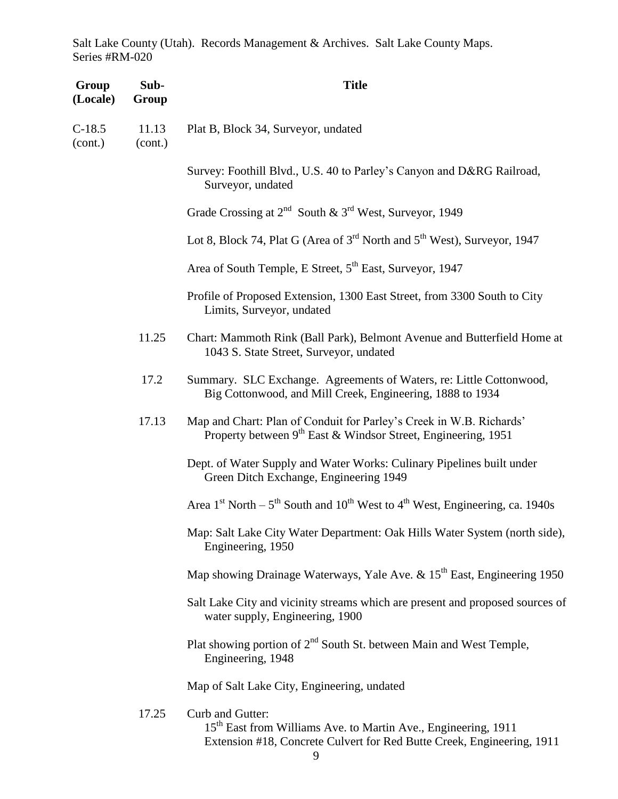| Group<br>(Locale)   | Sub-<br>Group    | <b>Title</b>                                                                                                                                                             |
|---------------------|------------------|--------------------------------------------------------------------------------------------------------------------------------------------------------------------------|
| $C-18.5$<br>(cont.) | 11.13<br>(cont.) | Plat B, Block 34, Surveyor, undated                                                                                                                                      |
|                     |                  | Survey: Foothill Blvd., U.S. 40 to Parley's Canyon and D&RG Railroad,<br>Surveyor, undated                                                                               |
|                     |                  | Grade Crossing at $2^{nd}$ South & $3^{rd}$ West, Surveyor, 1949                                                                                                         |
|                     |                  | Lot 8, Block 74, Plat G (Area of $3rd$ North and $5th$ West), Surveyor, 1947                                                                                             |
|                     |                  | Area of South Temple, E Street, 5 <sup>th</sup> East, Surveyor, 1947                                                                                                     |
|                     |                  | Profile of Proposed Extension, 1300 East Street, from 3300 South to City<br>Limits, Surveyor, undated                                                                    |
|                     | 11.25            | Chart: Mammoth Rink (Ball Park), Belmont Avenue and Butterfield Home at<br>1043 S. State Street, Surveyor, undated                                                       |
|                     | 17.2             | Summary. SLC Exchange. Agreements of Waters, re: Little Cottonwood,<br>Big Cottonwood, and Mill Creek, Engineering, 1888 to 1934                                         |
|                     | 17.13            | Map and Chart: Plan of Conduit for Parley's Creek in W.B. Richards'<br>Property between 9 <sup>th</sup> East & Windsor Street, Engineering, 1951                         |
|                     |                  | Dept. of Water Supply and Water Works: Culinary Pipelines built under<br>Green Ditch Exchange, Engineering 1949                                                          |
|                     |                  | Area $1st$ North – $5th$ South and $10th$ West to $4th$ West, Engineering, ca. 1940s                                                                                     |
|                     |                  | Map: Salt Lake City Water Department: Oak Hills Water System (north side),<br>Engineering, 1950                                                                          |
|                     |                  | Map showing Drainage Waterways, Yale Ave. & 15 <sup>th</sup> East, Engineering 1950                                                                                      |
|                     |                  | Salt Lake City and vicinity streams which are present and proposed sources of<br>water supply, Engineering, 1900                                                         |
|                     |                  | Plat showing portion of 2 <sup>nd</sup> South St. between Main and West Temple,<br>Engineering, 1948                                                                     |
|                     |                  | Map of Salt Lake City, Engineering, undated                                                                                                                              |
|                     | 17.25            | Curb and Gutter:<br>15 <sup>th</sup> East from Williams Ave. to Martin Ave., Engineering, 1911<br>Extension #18, Concrete Culvert for Red Butte Creek, Engineering, 1911 |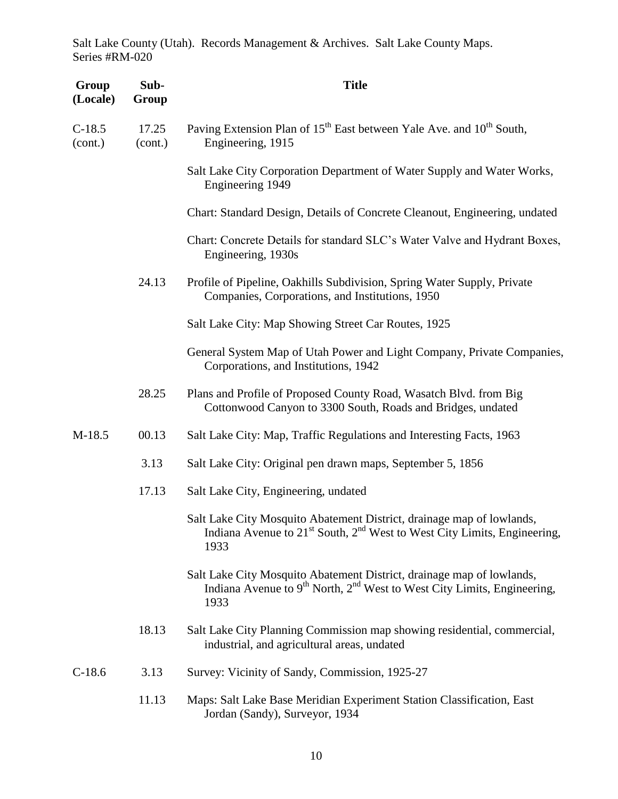| Group<br>(Locale)   | Sub-<br>Group    | <b>Title</b>                                                                                                                                                                      |
|---------------------|------------------|-----------------------------------------------------------------------------------------------------------------------------------------------------------------------------------|
| $C-18.5$<br>(cont.) | 17.25<br>(cont.) | Paving Extension Plan of 15 <sup>th</sup> East between Yale Ave. and 10 <sup>th</sup> South,<br>Engineering, 1915                                                                 |
|                     |                  | Salt Lake City Corporation Department of Water Supply and Water Works,<br>Engineering 1949                                                                                        |
|                     |                  | Chart: Standard Design, Details of Concrete Cleanout, Engineering, undated                                                                                                        |
|                     |                  | Chart: Concrete Details for standard SLC's Water Valve and Hydrant Boxes,<br>Engineering, 1930s                                                                                   |
|                     | 24.13            | Profile of Pipeline, Oakhills Subdivision, Spring Water Supply, Private<br>Companies, Corporations, and Institutions, 1950                                                        |
|                     |                  | Salt Lake City: Map Showing Street Car Routes, 1925                                                                                                                               |
|                     |                  | General System Map of Utah Power and Light Company, Private Companies,<br>Corporations, and Institutions, 1942                                                                    |
|                     | 28.25            | Plans and Profile of Proposed County Road, Wasatch Blvd. from Big<br>Cottonwood Canyon to 3300 South, Roads and Bridges, undated                                                  |
| M-18.5              | 00.13            | Salt Lake City: Map, Traffic Regulations and Interesting Facts, 1963                                                                                                              |
|                     | 3.13             | Salt Lake City: Original pen drawn maps, September 5, 1856                                                                                                                        |
|                     | 17.13            | Salt Lake City, Engineering, undated                                                                                                                                              |
|                     |                  | Salt Lake City Mosquito Abatement District, drainage map of lowlands,<br>Indiana Avenue to 21 <sup>st</sup> South, 2 <sup>nd</sup> West to West City Limits, Engineering,<br>1933 |
|                     |                  | Salt Lake City Mosquito Abatement District, drainage map of lowlands,<br>Indiana Avenue to $9th$ North, $2nd$ West to West City Limits, Engineering,<br>1933                      |
|                     | 18.13            | Salt Lake City Planning Commission map showing residential, commercial,<br>industrial, and agricultural areas, undated                                                            |
| $C-18.6$            | 3.13             | Survey: Vicinity of Sandy, Commission, 1925-27                                                                                                                                    |
|                     | 11.13            | Maps: Salt Lake Base Meridian Experiment Station Classification, East<br>Jordan (Sandy), Surveyor, 1934                                                                           |